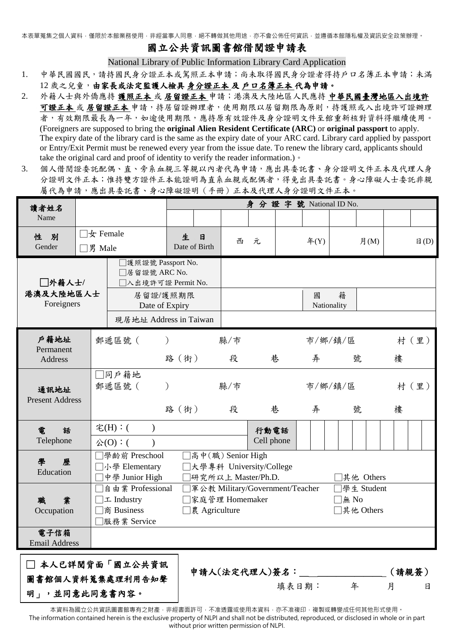本表單蒐集之個人資料,僅限於本館業務使用,非經當事人同意,絕不轉做其他用途,亦不會公佈任何資訊,並遵循本館隱私權及資訊安全政策辦理。

# 國立公共資訊圖書館借閱證申請表

National Library of Public Information Library Card Application

- 1. 中華民國國民,請持國民身分證正本或駕照正本申請;尚未取得國民身分證者得持戶口名簿正本申請;未滿 12 歲之兒童,由家長或法定監護人檢具身分證正本 及 戶口名簿正本 代為申請。
- 2. 外籍人士與外僑應持 護照正本 或 居留證正本 申請;港澳及大陸地區人民應持 中華民國臺灣地區入出境許 可證正本 或 居留證正本 申請,持居留證辦理者,使用期限以居留期限為原則,持護照或入出境許可證辦理 者,有效期限最長為一年,如逾使用期限,應持原有效證件及身分證明文件至館重新核對資料得繼續使用。 (Foreigners are supposed to bring the **original Alien Resident Certificate (ARC)** or **original passport** to apply. The expiry date of the library card is the same as the expiry date of your ARC card. Library card applied by passport or Entry/Exit Permit must be renewed every year from the issue date. To renew the library card, applicants should take the original card and proof of identity to verify the reader information.)。
- 3. 個人借閱證委託配偶、直、旁系血親三等親以內者代為申請,應出具委託書、身分證明文件正本及代理人身 分證明文件正本;惟持雙方證件正本能證明為直系血親或配偶者,得免出具委託書。身心障礙人士委託非親 屬代為申請,應出具委託書、身心障礙證明(手冊)正本及代理人身分證明文件正本。

| 讀者姓名                              |                                                                                                                                                                                                                 |                                                                                                                   | 身分證字號 National ID No.              |          |                    |                   |              |                             |                |  |
|-----------------------------------|-----------------------------------------------------------------------------------------------------------------------------------------------------------------------------------------------------------------|-------------------------------------------------------------------------------------------------------------------|------------------------------------|----------|--------------------|-------------------|--------------|-----------------------------|----------------|--|
| Name                              |                                                                                                                                                                                                                 |                                                                                                                   |                                    |          |                    |                   |              |                             |                |  |
| 性 別<br>Gender                     | $\Box$ 女 Female<br>□男 Male                                                                                                                                                                                      |                                                                                                                   | 生<br>$\mathbf{H}$<br>Date of Birth | 西<br>元   |                    | $\text{F}(Y)$     | 月 $(M)$      |                             | $\boxplus$ (D) |  |
| □外籍人士/<br>港澳及大陸地區人士<br>Foreigners |                                                                                                                                                                                                                 | □護照證號 Passport No.<br>□居留證號 ARC No.<br>□入出境許可證 Permit No.<br>居留證/護照期限<br>Date of Expiry<br>現居地址 Address in Taiwan |                                    |          |                    | 國<br>Nationality  | 籍            |                             |                |  |
| 戶籍地址<br>Permanent<br>Address      |                                                                                                                                                                                                                 | 郵遞區號 (                                                                                                            | 路(街)                               | 縣/市<br>段 | 巷                  | 弄                 | 市/鄉/鎮/區<br>號 | 樓                           | 村 (里)          |  |
| 通訊地址<br><b>Present Address</b>    |                                                                                                                                                                                                                 | □同戶籍地<br>郵遞區號(                                                                                                    | 縣/市<br>路(街)<br>段                   |          | 巷                  | 市/鄉/鎮/區<br>弄<br>號 |              | 樓                           | 村(里)           |  |
| 雷<br>話<br>Telephone               |                                                                                                                                                                                                                 | 宅(H):(<br>$\lambda$<br>公(O):(                                                                                     |                                    |          | 行動電話<br>Cell phone |                   |              |                             |                |  |
| 學<br>歷<br>Education               | □學齡前 Preschool<br>]高中(職) Senior High<br>□大學專科 University/College<br>□小學 Elementary<br>中學 Junior High<br>研究所以上 Master/Ph.D.<br>]其他 Others<br>□自由業 Professional<br>]軍公教 Military/Government/Teacher<br>學生 Student |                                                                                                                   |                                    |          |                    |                   |              |                             |                |  |
| 業<br>職<br>Occupation              |                                                                                                                                                                                                                 | エ Industry<br>商 Business<br>□ 農 Agriculture<br> 服務業 Service                                                       |                                    |          | 家庭管理 Homemaker     |                   |              | $\Box$ for No<br>□其他 Others |                |  |
| 電子信箱<br><b>Email Address</b>      |                                                                                                                                                                                                                 |                                                                                                                   |                                    |          |                    |                   |              |                             |                |  |
| □ 本人已詳閲背面「國立公共資訊                  |                                                                                                                                                                                                                 | 申請人(法定代理人)簽名:<br>(請親簽)                                                                                            |                                    |          |                    |                   |              |                             |                |  |
| 圖書館個人資料蒐集處理利用告知聲<br>明」,並同意此同意書內容。 |                                                                                                                                                                                                                 |                                                                                                                   |                                    |          |                    | 填表日期:             | 年            | 月                           | 日              |  |

本資料為國立公共資訊圖書館專有之財產,非經書面許可,不准透露或使用本資料,亦不准複印,複製或轉變成任何其他形式使用。 The information contained herein is the exclusive property of NLPI and shall not be distributed, reproduced, or disclosed in whole or in part without prior written permission of NLPI.